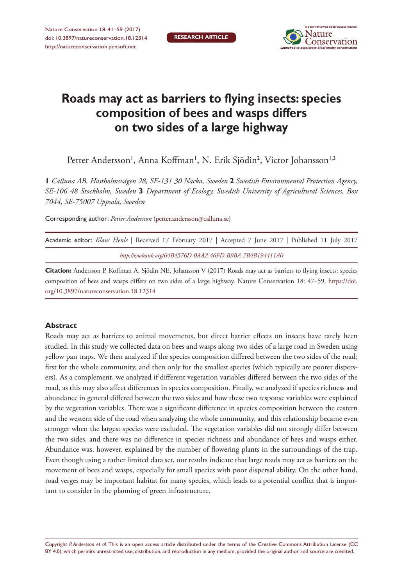

# **Roads may act as barriers to flying insects: species composition of bees and wasps differs on two sides of a large highway**

Petter Andersson', Anna Koffman', N. Erik Sjödin<sup>2</sup>, Victor Johansson'<sup>,3</sup>

**1** *Calluna AB, Hästholmsvägen 28, SE-131 30 Nacka, Sweden* **2** *Swedish Environmental Protection Agency, SE-106 48 Stockholm, Sweden* **3** *Department of Ecology, Swedish University of Agricultural Sciences, Box 7044, SE-75007 Uppsala, Sweden*

Corresponding author: *Petter Andersson* ([petter.andersson@calluna.se\)](mailto:petter.andersson@calluna.se)

| Academic editor: Klaus Henle   Received 17 February 2017   Accepted 7 June 2017   Published 11 July 2017 |  |  |  |  |  |  |  |  |  |  |  |  |  |
|----------------------------------------------------------------------------------------------------------|--|--|--|--|--|--|--|--|--|--|--|--|--|
| http://zoobank.org/04B4576D-0AA2-46FD-B9BA-7B4B194411A0                                                  |  |  |  |  |  |  |  |  |  |  |  |  |  |

**Citation:** Andersson P, Koffman A, Sjödin NE, Johansson V (2017) Roads may act as barriers to flying insects: species composition of bees and wasps differs on two sides of a large highway. Nature Conservation 18: 47–59. [https://doi.](https://doi.org/10.3897/natureconservation.18.12314) [org/10.3897/natureconservation.18.12314](https://doi.org/10.3897/natureconservation.18.12314)

#### **Abstract**

Roads may act as barriers to animal movements, but direct barrier effects on insects have rarely been studied. In this study we collected data on bees and wasps along two sides of a large road in Sweden using yellow pan traps. We then analyzed if the species composition differed between the two sides of the road; first for the whole community, and then only for the smallest species (which typically are poorer dispersers). As a complement, we analyzed if different vegetation variables differed between the two sides of the road, as this may also affect differences in species composition. Finally, we analyzed if species richness and abundance in general differed between the two sides and how these two response variables were explained by the vegetation variables. There was a significant difference in species composition between the eastern and the western side of the road when analyzing the whole community, and this relationship became even stronger when the largest species were excluded. The vegetation variables did not strongly differ between the two sides, and there was no difference in species richness and abundance of bees and wasps either. Abundance was, however, explained by the number of flowering plants in the surroundings of the trap. Even though using a rather limited data set, our results indicate that large roads may act as barriers on the movement of bees and wasps, especially for small species with poor dispersal ability. On the other hand, road verges may be important habitat for many species, which leads to a potential conflict that is important to consider in the planning of green infrastructure.

Copyright *P. Andersson et al.* This is an open access article distributed under the terms of the [Creative Commons Attribution License \(CC](http://creativecommons.org/licenses/by/4.0/)  [BY 4.0\)](http://creativecommons.org/licenses/by/4.0/), which permits unrestricted use, distribution, and reproduction in any medium, provided the original author and source are credited.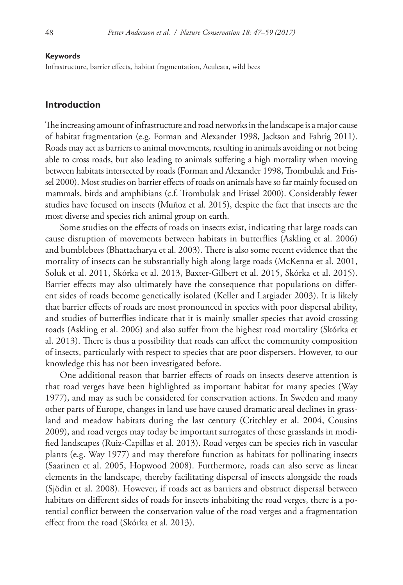#### **Keywords**

Infrastructure, barrier effects, habitat fragmentation, Aculeata, wild bees

#### **Introduction**

The increasing amount of infrastructure and road networks in the landscape is a major cause of habitat fragmentation (e.g. Forman and Alexander 1998, Jackson and Fahrig 2011). Roads may act as barriers to animal movements, resulting in animals avoiding or not being able to cross roads, but also leading to animals suffering a high mortality when moving between habitats intersected by roads (Forman and Alexander 1998, Trombulak and Frissel 2000). Most studies on barrier effects of roads on animals have so far mainly focused on mammals, birds and amphibians (c.f. Trombulak and Frissel 2000). Considerably fewer studies have focused on insects (Muñoz et al. 2015), despite the fact that insects are the most diverse and species rich animal group on earth.

Some studies on the effects of roads on insects exist, indicating that large roads can cause disruption of movements between habitats in butterflies (Askling et al. 2006) and bumblebees (Bhattacharya et al. 2003). There is also some recent evidence that the mortality of insects can be substantially high along large roads (McKenna et al. 2001, Soluk et al. 2011, Skórka et al. 2013, Baxter-Gilbert et al. 2015, Skórka et al. 2015). Barrier effects may also ultimately have the consequence that populations on different sides of roads become genetically isolated (Keller and Largiader 2003). It is likely that barrier effects of roads are most pronounced in species with poor dispersal ability, and studies of butterflies indicate that it is mainly smaller species that avoid crossing roads (Askling et al. 2006) and also suffer from the highest road mortality (Skórka et al. 2013). There is thus a possibility that roads can affect the community composition of insects, particularly with respect to species that are poor dispersers. However, to our knowledge this has not been investigated before.

One additional reason that barrier effects of roads on insects deserve attention is that road verges have been highlighted as important habitat for many species (Way 1977), and may as such be considered for conservation actions. In Sweden and many other parts of Europe, changes in land use have caused dramatic areal declines in grassland and meadow habitats during the last century (Critchley et al. 2004, Cousins 2009), and road verges may today be important surrogates of these grasslands in modified landscapes (Ruiz-Capillas et al. 2013). Road verges can be species rich in vascular plants (e.g. Way 1977) and may therefore function as habitats for pollinating insects (Saarinen et al. 2005, Hopwood 2008). Furthermore, roads can also serve as linear elements in the landscape, thereby facilitating dispersal of insects alongside the roads (Sjödin et al. 2008). However, if roads act as barriers and obstruct dispersal between habitats on different sides of roads for insects inhabiting the road verges, there is a potential conflict between the conservation value of the road verges and a fragmentation effect from the road (Skórka et al. 2013).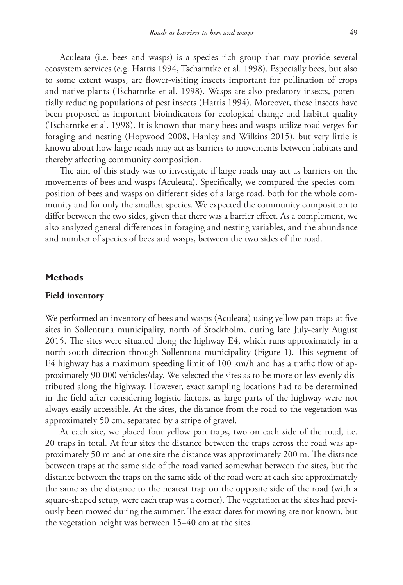Aculeata (i.e. bees and wasps) is a species rich group that may provide several ecosystem services (e.g. Harris 1994, Tscharntke et al. 1998). Especially bees, but also to some extent wasps, are flower-visiting insects important for pollination of crops and native plants (Tscharntke et al. 1998). Wasps are also predatory insects, potentially reducing populations of pest insects (Harris 1994). Moreover, these insects have been proposed as important bioindicators for ecological change and habitat quality (Tscharntke et al. 1998). It is known that many bees and wasps utilize road verges for foraging and nesting (Hopwood 2008, Hanley and Wilkins 2015), but very little is known about how large roads may act as barriers to movements between habitats and thereby affecting community composition.

The aim of this study was to investigate if large roads may act as barriers on the movements of bees and wasps (Aculeata). Specifically, we compared the species composition of bees and wasps on different sides of a large road, both for the whole community and for only the smallest species. We expected the community composition to differ between the two sides, given that there was a barrier effect. As a complement, we also analyzed general differences in foraging and nesting variables, and the abundance and number of species of bees and wasps, between the two sides of the road.

#### **Methods**

## **Field inventory**

We performed an inventory of bees and wasps (Aculeata) using yellow pan traps at five sites in Sollentuna municipality, north of Stockholm, during late July-early August 2015. The sites were situated along the highway E4, which runs approximately in a north-south direction through Sollentuna municipality (Figure 1). This segment of E4 highway has a maximum speeding limit of 100 km/h and has a traffic flow of approximately 90 000 vehicles/day. We selected the sites as to be more or less evenly distributed along the highway. However, exact sampling locations had to be determined in the field after considering logistic factors, as large parts of the highway were not always easily accessible. At the sites, the distance from the road to the vegetation was approximately 50 cm, separated by a stripe of gravel.

At each site, we placed four yellow pan traps, two on each side of the road, i.e. 20 traps in total. At four sites the distance between the traps across the road was approximately 50 m and at one site the distance was approximately 200 m. The distance between traps at the same side of the road varied somewhat between the sites, but the distance between the traps on the same side of the road were at each site approximately the same as the distance to the nearest trap on the opposite side of the road (with a square-shaped setup, were each trap was a corner). The vegetation at the sites had previously been mowed during the summer. The exact dates for mowing are not known, but the vegetation height was between 15–40 cm at the sites.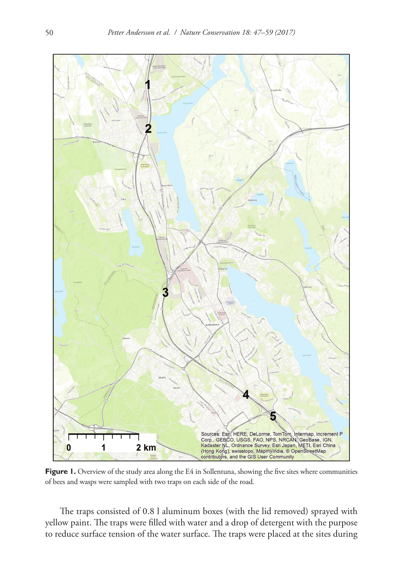

Figure 1. Overview of the study area along the E4 in Sollentuna, showing the five sites where communities of bees and wasps were sampled with two traps on each side of the road.

The traps consisted of 0.8 l aluminum boxes (with the lid removed) sprayed with yellow paint. The traps were filled with water and a drop of detergent with the purpose to reduce surface tension of the water surface. The traps were placed at the sites during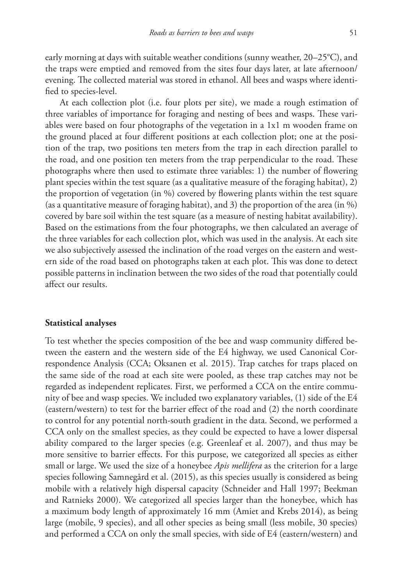early morning at days with suitable weather conditions (sunny weather, 20–25°C), and the traps were emptied and removed from the sites four days later, at late afternoon/ evening. The collected material was stored in ethanol. All bees and wasps where identified to species-level.

At each collection plot (i.e. four plots per site), we made a rough estimation of three variables of importance for foraging and nesting of bees and wasps. These variables were based on four photographs of the vegetation in a 1x1 m wooden frame on the ground placed at four different positions at each collection plot; one at the position of the trap, two positions ten meters from the trap in each direction parallel to the road, and one position ten meters from the trap perpendicular to the road. These photographs where then used to estimate three variables: 1) the number of flowering plant species within the test square (as a qualitative measure of the foraging habitat), 2) the proportion of vegetation (in %) covered by flowering plants within the test square (as a quantitative measure of foraging habitat), and 3) the proportion of the area (in %) covered by bare soil within the test square (as a measure of nesting habitat availability). Based on the estimations from the four photographs, we then calculated an average of the three variables for each collection plot, which was used in the analysis. At each site we also subjectively assessed the inclination of the road verges on the eastern and western side of the road based on photographs taken at each plot. This was done to detect possible patterns in inclination between the two sides of the road that potentially could affect our results.

#### **Statistical analyses**

To test whether the species composition of the bee and wasp community differed between the eastern and the western side of the E4 highway, we used Canonical Correspondence Analysis (CCA; Oksanen et al. 2015). Trap catches for traps placed on the same side of the road at each site were pooled, as these trap catches may not be regarded as independent replicates. First, we performed a CCA on the entire community of bee and wasp species. We included two explanatory variables, (1) side of the E4 (eastern/western) to test for the barrier effect of the road and (2) the north coordinate to control for any potential north-south gradient in the data. Second, we performed a CCA only on the smallest species, as they could be expected to have a lower dispersal ability compared to the larger species (e.g. Greenleaf et al. 2007), and thus may be more sensitive to barrier effects. For this purpose, we categorized all species as either small or large. We used the size of a honeybee *Apis mellifera* as the criterion for a large species following Samnegård et al. (2015), as this species usually is considered as being mobile with a relatively high dispersal capacity (Schneider and Hall 1997; Beekman and Ratnieks 2000). We categorized all species larger than the honeybee, which has a maximum body length of approximately 16 mm (Amiet and Krebs 2014), as being large (mobile, 9 species), and all other species as being small (less mobile, 30 species) and performed a CCA on only the small species, with side of E4 (eastern/western) and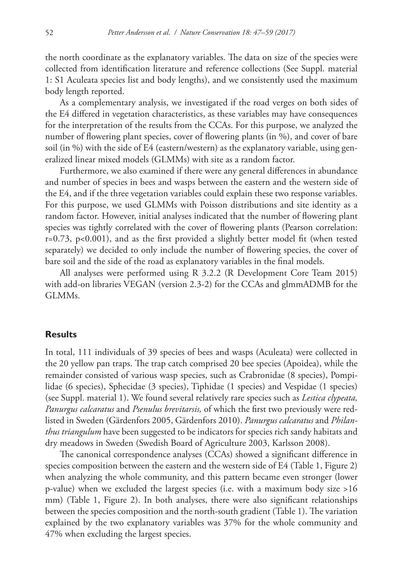the north coordinate as the explanatory variables. The data on size of the species were collected from identification literature and reference collections (See Suppl. material 1: S1 Aculeata species list and body lengths), and we consistently used the maximum body length reported.

As a complementary analysis, we investigated if the road verges on both sides of the E4 differed in vegetation characteristics, as these variables may have consequences for the interpretation of the results from the CCAs. For this purpose, we analyzed the number of flowering plant species, cover of flowering plants (in %), and cover of bare soil (in %) with the side of E4 (eastern/western) as the explanatory variable, using generalized linear mixed models (GLMMs) with site as a random factor.

Furthermore, we also examined if there were any general differences in abundance and number of species in bees and wasps between the eastern and the western side of the E4, and if the three vegetation variables could explain these two response variables. For this purpose, we used GLMMs with Poisson distributions and site identity as a random factor. However, initial analyses indicated that the number of flowering plant species was tightly correlated with the cover of flowering plants (Pearson correlation: r=0.73, p<0.001), and as the first provided a slightly better model fit (when tested separately) we decided to only include the number of flowering species, the cover of bare soil and the side of the road as explanatory variables in the final models.

All analyses were performed using R 3.2.2 (R Development Core Team 2015) with add-on libraries VEGAN (version 2.3-2) for the CCAs and glmmADMB for the GLMMs.

## **Results**

In total, 111 individuals of 39 species of bees and wasps (Aculeata) were collected in the 20 yellow pan traps. The trap catch comprised 20 bee species (Apoidea), while the remainder consisted of various wasp species, such as Crabronidae (8 species), Pompilidae (6 species), Sphecidae (3 species), Tiphidae (1 species) and Vespidae (1 species) (see Suppl. material 1). We found several relatively rare species such as *Lestica clypeata, Panurgus calcaratus* and *Psenulus brevitarsis,* of which the first two previously were redlisted in Sweden (Gärdenfors 2005, Gärdenfors 2010). *Panurgus calcaratus* and *Philanthus triangulum* have been suggested to be indicators for species rich sandy habitats and dry meadows in Sweden (Swedish Board of Agriculture 2003, Karlsson 2008).

The canonical correspondence analyses (CCAs) showed a significant difference in species composition between the eastern and the western side of E4 (Table 1, Figure 2) when analyzing the whole community, and this pattern became even stronger (lower p-value) when we excluded the largest species (i.e. with a maximum body size >16 mm) (Table 1, Figure 2). In both analyses, there were also significant relationships between the species composition and the north-south gradient (Table 1). The variation explained by the two explanatory variables was 37% for the whole community and 47% when excluding the largest species.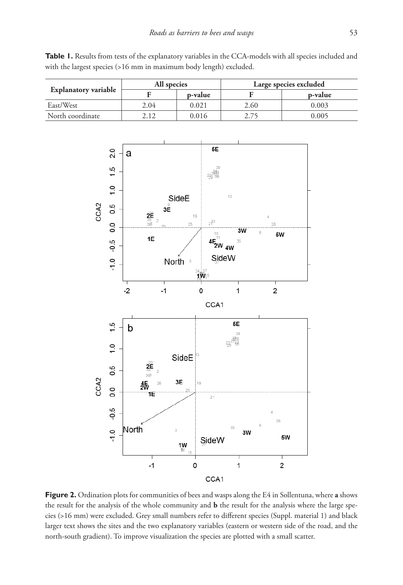

Table 1. Results from tests of the explanatory variables in the CCA-models with all species included and with the largest species (>16 mm in maximum body length) excluded.



 $21$ 

SideW

CCA1

1W

 $\mathbf 0$ 

3W

1

5W

 $\overline{\mathbf{c}}$ 

翡  $\overline{\mathcal{N}}$ 

North

1E

 $-1$ 

 $\overline{0}$ 

 $-0.5$ 

 $\frac{0}{1}$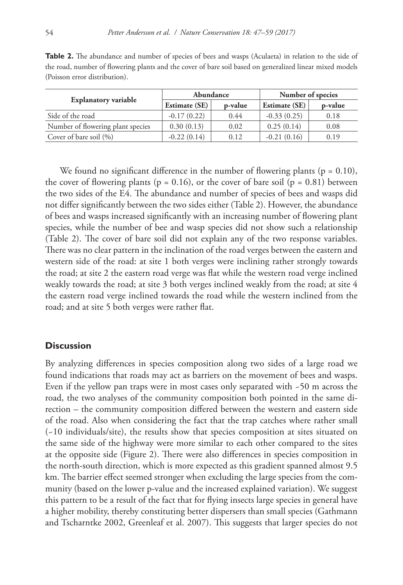**Table 2.** The abundance and number of species of bees and wasps (Aculaeta) in relation to the side of the road, number of flowering plants and the cover of bare soil based on generalized linear mixed models (Poisson error distribution).

|                                   |                      | Abundance | Number of species    |         |  |  |
|-----------------------------------|----------------------|-----------|----------------------|---------|--|--|
| <b>Explanatory variable</b>       | <b>Estimate (SE)</b> | p-value   | <b>Estimate (SE)</b> | p-value |  |  |
| Side of the road                  | $-0.17(0.22)$        | 0.44      | $-0.33(0.25)$        | 0.18    |  |  |
| Number of flowering plant species | 0.30(0.13)           | 0.02      | 0.25(0.14)           | 0.08    |  |  |
| Cover of bare soil $(\% )$        | $-0.22(0.14)$        | 0.12      | $-0.21(0.16)$        | 0.19    |  |  |

We found no significant difference in the number of flowering plants ( $p = 0.10$ ), the cover of flowering plants ( $p = 0.16$ ), or the cover of bare soil ( $p = 0.81$ ) between the two sides of the E4. The abundance and number of species of bees and wasps did not differ significantly between the two sides either (Table 2). However, the abundance of bees and wasps increased significantly with an increasing number of flowering plant species, while the number of bee and wasp species did not show such a relationship (Table 2). The cover of bare soil did not explain any of the two response variables. There was no clear pattern in the inclination of the road verges between the eastern and western side of the road: at site 1 both verges were inclining rather strongly towards the road; at site 2 the eastern road verge was flat while the western road verge inclined weakly towards the road; at site 3 both verges inclined weakly from the road; at site 4 the eastern road verge inclined towards the road while the western inclined from the road; and at site 5 both verges were rather flat.

#### **Discussion**

By analyzing differences in species composition along two sides of a large road we found indications that roads may act as barriers on the movement of bees and wasps. Even if the yellow pan traps were in most cases only separated with  $-50$  m across the road, the two analyses of the community composition both pointed in the same direction – the community composition differed between the western and eastern side of the road. Also when considering the fact that the trap catches where rather small (~10 individuals/site), the results show that species composition at sites situated on the same side of the highway were more similar to each other compared to the sites at the opposite side (Figure 2). There were also differences in species composition in the north-south direction, which is more expected as this gradient spanned almost 9.5 km. The barrier effect seemed stronger when excluding the large species from the community (based on the lower p-value and the increased explained variation). We suggest this pattern to be a result of the fact that for flying insects large species in general have a higher mobility, thereby constituting better dispersers than small species (Gathmann and Tscharntke 2002, Greenleaf et al. 2007). This suggests that larger species do not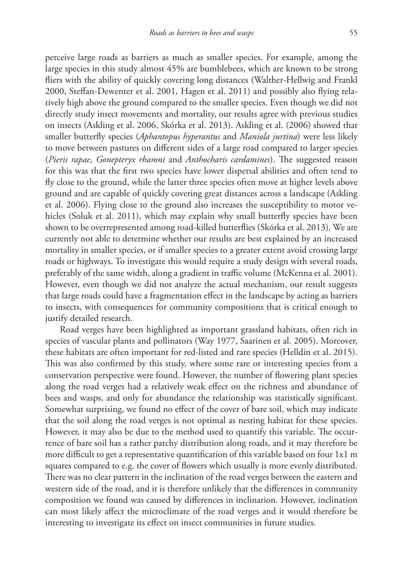perceive large roads as barriers as much as smaller species. For example, among the large species in this study almost 45% are bumblebees, which are known to be strong fliers with the ability of quickly covering long distances (Walther-Hellwig and Frankl 2000, Steffan-Dewenter et al. 2001, Hagen et al. 2011) and possibly also flying relatively high above the ground compared to the smaller species. Even though we did not directly study insect movements and mortality, our results agree with previous studies on insects (Askling et al. 2006, Skórka et al. 2013). Askling et al. (2006) showed that smaller butterfly species (*Aphantopus hyperantus* and *Maniola jurtina*) were less likely to move between pastures on different sides of a large road compared to larger species (*Pieris rapae*, *Gonepteryx rhamni* and *Anthocharis cardamines*). The suggested reason for this was that the first two species have lower dispersal abilities and often tend to fly close to the ground, while the latter three species often move at higher levels above ground and are capable of quickly covering great distances across a landscape (Askling et al. 2006). Flying close to the ground also increases the susceptibility to motor vehicles (Soluk et al. 2011), which may explain why small butterfly species have been shown to be overrepresented among road-killed butterflies (Skórka et al. 2013). We are currently not able to determine whether our results are best explained by an increased mortality in smaller species, or if smaller species to a greater extent avoid crossing large roads or highways. To investigate this would require a study design with several roads, preferably of the same width, along a gradient in traffic volume (McKenna et al. 2001). However, even though we did not analyze the actual mechanism, our result suggests that large roads could have a fragmentation effect in the landscape by acting as barriers to insects, with consequences for community compositions that is critical enough to justify detailed research.

Road verges have been highlighted as important grassland habitats, often rich in species of vascular plants and pollinators (Way 1977, Saarinen et al. 2005). Moreover, these habitats are often important for red-listed and rare species (Helldin et al. 2015). This was also confirmed by this study, where some rare or interesting species from a conservation perspective were found. However, the number of flowering plant species along the road verges had a relatively weak effect on the richness and abundance of bees and wasps, and only for abundance the relationship was statistically significant. Somewhat surprising, we found no effect of the cover of bare soil, which may indicate that the soil along the road verges is not optimal as nesting habitat for these species. However, it may also be due to the method used to quantify this variable. The occurrence of bare soil has a rather patchy distribution along roads, and it may therefore be more difficult to get a representative quantification of this variable based on four 1x1 m squares compared to e.g. the cover of flowers which usually is more evenly distributed. There was no clear pattern in the inclination of the road verges between the eastern and western side of the road, and it is therefore unlikely that the differences in community composition we found was caused by differences in inclination. However, inclination can most likely affect the microclimate of the road verges and it would therefore be interesting to investigate its effect on insect communities in future studies.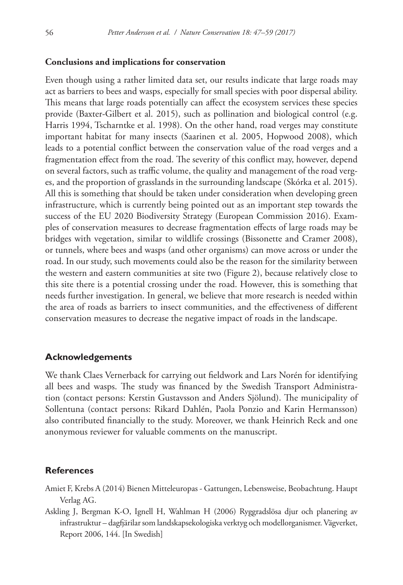#### **Conclusions and implications for conservation**

Even though using a rather limited data set, our results indicate that large roads may act as barriers to bees and wasps, especially for small species with poor dispersal ability. This means that large roads potentially can affect the ecosystem services these species provide (Baxter-Gilbert et al. 2015), such as pollination and biological control (e.g. Harris 1994, Tscharntke et al. 1998). On the other hand, road verges may constitute important habitat for many insects (Saarinen et al. 2005, Hopwood 2008), which leads to a potential conflict between the conservation value of the road verges and a fragmentation effect from the road. The severity of this conflict may, however, depend on several factors, such as traffic volume, the quality and management of the road verges, and the proportion of grasslands in the surrounding landscape (Skórka et al. 2015). All this is something that should be taken under consideration when developing green infrastructure, which is currently being pointed out as an important step towards the success of the EU 2020 Biodiversity Strategy (European Commission 2016). Examples of conservation measures to decrease fragmentation effects of large roads may be bridges with vegetation, similar to wildlife crossings (Bissonette and Cramer 2008), or tunnels, where bees and wasps (and other organisms) can move across or under the road. In our study, such movements could also be the reason for the similarity between the western and eastern communities at site two (Figure 2), because relatively close to this site there is a potential crossing under the road. However, this is something that needs further investigation. In general, we believe that more research is needed within the area of roads as barriers to insect communities, and the effectiveness of different conservation measures to decrease the negative impact of roads in the landscape.

### **Acknowledgements**

We thank Claes Vernerback for carrying out fieldwork and Lars Norén for identifying all bees and wasps. The study was financed by the Swedish Transport Administration (contact persons: Kerstin Gustavsson and Anders Sjölund). The municipality of Sollentuna (contact persons: Rikard Dahlén, Paola Ponzio and Karin Hermansson) also contributed financially to the study. Moreover, we thank Heinrich Reck and one anonymous reviewer for valuable comments on the manuscript.

## **References**

- Amiet F, Krebs A (2014) Bienen Mitteleuropas Gattungen, Lebensweise, Beobachtung. Haupt Verlag AG.
- Askling J, Bergman K-O, Ignell H, Wahlman H (2006) Ryggradslösa djur och planering av infrastruktur – dagfjärilar som landskapsekologiska verktyg och modellorganismer. Vägverket, Report 2006, 144. [In Swedish]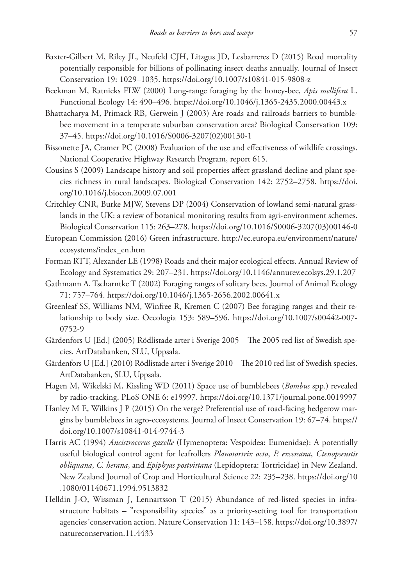- Baxter-Gilbert M, Riley JL, Neufeld CJH, Litzgus JD, Lesbarreres D (2015) Road mortality potentially responsible for billions of pollinating insect deaths annually. Journal of Insect Conservation 19: 1029–1035. <https://doi.org/10.1007/s10841-015-9808-z>
- Beekman M, Ratnieks FLW (2000) Long-range foraging by the honey-bee, *Apis mellifera* L. Functional Ecology 14: 490–496.<https://doi.org/10.1046/j.1365-2435.2000.00443.x>
- Bhattacharya M, Primack RB, Gerwein J (2003) Are roads and railroads barriers to bumblebee movement in a temperate suburban conservation area? Biological Conservation 109: 37–45. [https://doi.org/10.1016/S0006-3207\(02\)00130-1](https://doi.org/10.1016/S0006-3207(02)00130-1)
- Bissonette JA, Cramer PC (2008) Evaluation of the use and effectiveness of wildlife crossings. National Cooperative Highway Research Program, report 615.
- Cousins S (2009) Landscape history and soil properties affect grassland decline and plant species richness in rural landscapes. Biological Conservation 142: 2752–2758. [https://doi.](https://doi.org/10.1016/j.biocon.2009.07.001) [org/10.1016/j.biocon.2009.07.001](https://doi.org/10.1016/j.biocon.2009.07.001)
- Critchley CNR, Burke MJW, Stevens DP (2004) Conservation of lowland semi-natural grasslands in the UK: a review of botanical monitoring results from agri-environment schemes. Biological Conservation 115: 263–278. [https://doi.org/10.1016/S0006-3207\(03\)00146-0](https://doi.org/10.1016/S0006-3207(03)00146-0)
- European Commission (2016) Green infrastructure. [http://ec.europa.eu/environment/nature/](http://ec.europa.eu/environment/nature/ecosystems/index_en.htm) [ecosystems/index\\_en.htm](http://ec.europa.eu/environment/nature/ecosystems/index_en.htm)
- Forman RTT, Alexander LE (1998) Roads and their major ecological effects. Annual Review of Ecology and Systematics 29: 207–231.<https://doi.org/10.1146/annurev.ecolsys.29.1.207>
- Gathmann A, Tscharntke T (2002) Foraging ranges of solitary bees. Journal of Animal Ecology 71: 757–764.<https://doi.org/10.1046/j.1365-2656.2002.00641.x>
- Greenleaf SS, Williams NM, Winfree R, Kremen C (2007) Bee foraging ranges and their relationship to body size. Oecologia 153: 589–596. [https://doi.org/10.1007/s00442-007-](https://doi.org/10.1007/s00442-007-0752-9) [0752-9](https://doi.org/10.1007/s00442-007-0752-9)
- Gärdenfors U [Ed.] (2005) Rödlistade arter i Sverige 2005 The 2005 red list of Swedish species. ArtDatabanken, SLU, Uppsala.
- Gärdenfors U [Ed.] (2010) Rödlistade arter i Sverige 2010 The 2010 red list of Swedish species. ArtDatabanken, SLU, Uppsala.
- Hagen M, Wikelski M, Kissling WD (2011) Space use of bumblebees (*Bombus* spp.) revealed by radio-tracking. PLoS ONE 6: e19997.<https://doi.org/10.1371/journal.pone.0019997>
- Hanley M E, Wilkins J P (2015) On the verge? Preferential use of road-facing hedgerow margins by bumblebees in agro-ecosystems. Journal of Insect Conservation 19: 67–74. [https://](https://doi.org/10.1007/s10841-014-9744-3) [doi.org/10.1007/s10841-014-9744-3](https://doi.org/10.1007/s10841-014-9744-3)
- Harris AC (1994) *Ancistrocerus gazelle* (Hymenoptera: Vespoidea: Eumenidae): A potentially useful biological control agent for leafrollers *Planotortrix octo*, *P. excessana*, *Ctenopseustis obliquana*, *C. herana*, and *Epiphyas postvittana* (Lepidoptera: Tortricidae) in New Zealand. New Zealand Journal of Crop and Horticultural Science 22: 235–238. [https://doi.org/10](https://doi.org/10.1080/01140671.1994.9513832) [.1080/01140671.1994.9513832](https://doi.org/10.1080/01140671.1994.9513832)
- Helldin J-O, Wissman J, Lennartsson T (2015) Abundance of red-listed species in infrastructure habitats – "responsibility species" as a priority-setting tool for transportation agencies´conservation action. Nature Conservation 11: 143–158. [https://doi.org/10.3897/](https://doi.org/10.3897/natureconservation.11.4433) [natureconservation.11.4433](https://doi.org/10.3897/natureconservation.11.4433)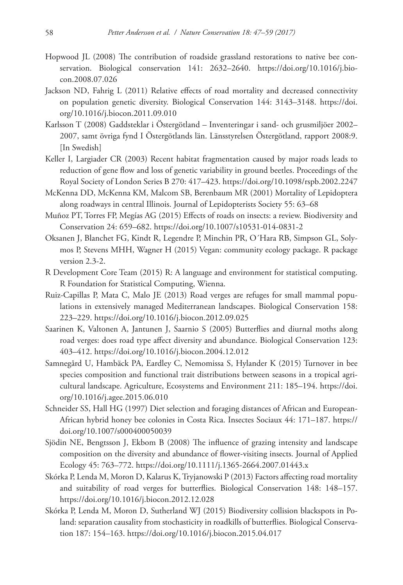- Hopwood JL (2008) The contribution of roadside grassland restorations to native bee conservation. Biological conservation 141: 2632–2640. [https://doi.org/10.1016/j.bio](https://doi.org/10.1016/j.biocon.2008.07.026)[con.2008.07.026](https://doi.org/10.1016/j.biocon.2008.07.026)
- Jackson ND, Fahrig L (2011) Relative effects of road mortality and decreased connectivity on population genetic diversity. Biological Conservation 144: 3143–3148. [https://doi.](https://doi.org/10.1016/j.biocon.2011.09.010) [org/10.1016/j.biocon.2011.09.010](https://doi.org/10.1016/j.biocon.2011.09.010)
- Karlsson T (2008) Gaddsteklar i Östergötland Inventeringar i sand- och grusmiljöer 2002– 2007, samt övriga fynd I Östergötlands län. Länsstyrelsen Östergötland, rapport 2008:9. [In Swedish]
- Keller I, Largiader CR (2003) Recent habitat fragmentation caused by major roads leads to reduction of gene flow and loss of genetic variability in ground beetles. Proceedings of the Royal Society of London Series B 270: 417–423.<https://doi.org/10.1098/rspb.2002.2247>
- McKenna DD, McKenna KM, Malcom SB, Berenbaum MR (2001) Mortality of Lepidoptera along roadways in central Illinois. Journal of Lepidopterists Society 55: 63–68
- Muñoz PT, Torres FP, Megías AG (2015) Effects of roads on insects: a review. Biodiversity and Conservation 24: 659–682. <https://doi.org/10.1007/s10531-014-0831-2>
- Oksanen J, Blanchet FG, Kindt R, Legendre P, Minchin PR, O´Hara RB, Simpson GL, Solymos P, Stevens MHH, Wagner H (2015) Vegan: community ecology package. R package version 2.3-2.
- R Development Core Team (2015) R: A language and environment for statistical computing. R Foundation for Statistical Computing, Wienna.
- Ruiz-Capillas P, Mata C, Malo JE (2013) Road verges are refuges for small mammal populations in extensively managed Mediterranean landscapes. Biological Conservation 158: 223–229.<https://doi.org/10.1016/j.biocon.2012.09.025>
- Saarinen K, Valtonen A, Jantunen J, Saarnio S (2005) Butterflies and diurnal moths along road verges: does road type affect diversity and abundance. Biological Conservation 123: 403–412.<https://doi.org/10.1016/j.biocon.2004.12.012>
- Samnegård U, Hambäck PA, Eardley C, Nemomissa S, Hylander K (2015) Turnover in bee species composition and functional trait distributions between seasons in a tropical agricultural landscape. Agriculture, Ecosystems and Environment 211: 185–194. [https://doi.](https://doi.org/10.1016/j.agee.2015.06.010) [org/10.1016/j.agee.2015.06.010](https://doi.org/10.1016/j.agee.2015.06.010)
- Schneider SS, Hall HG (1997) Diet selection and foraging distances of African and European-African hybrid honey bee colonies in Costa Rica. Insectes Sociaux 44: 171–187. [https://](https://doi.org/10.1007/s000400050039) [doi.org/10.1007/s000400050039](https://doi.org/10.1007/s000400050039)
- Sjödin NE, Bengtsson J, Ekbom B (2008) The influence of grazing intensity and landscape composition on the diversity and abundance of flower-visiting insects. Journal of Applied Ecology 45: 763–772. <https://doi.org/10.1111/j.1365-2664.2007.01443.x>
- Skórka P, Lenda M, Moron D, Kalarus K, Tryjanowski P (2013) Factors affecting road mortality and suitability of road verges for butterflies. Biological Conservation 148: 148–157. <https://doi.org/10.1016/j.biocon.2012.12.028>
- Skórka P, Lenda M, Moron D, Sutherland WJ (2015) Biodiversity collision blackspots in Poland: separation causality from stochasticity in roadkills of butterflies. Biological Conservation 187: 154–163. <https://doi.org/10.1016/j.biocon.2015.04.017>